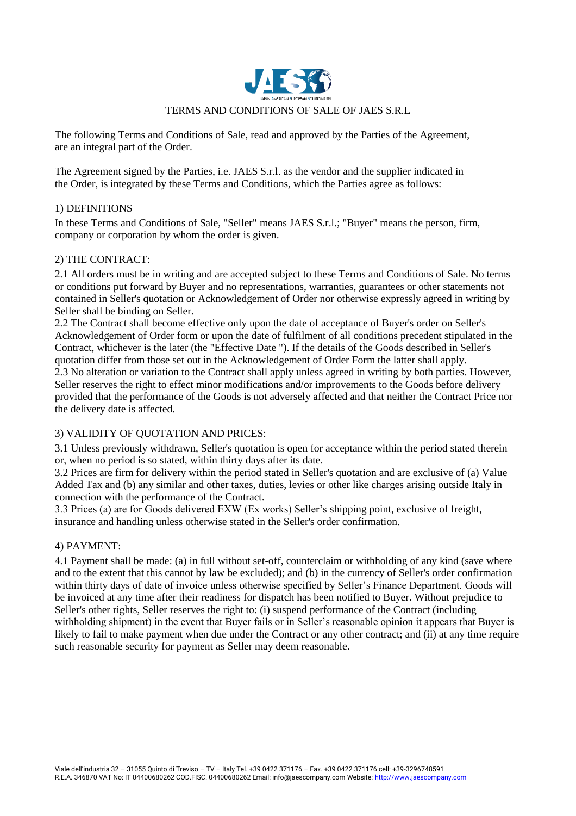

The following Terms and Conditions of Sale, read and approved by the Parties of the Agreement, are an integral part of the Order.

The Agreement signed by the Parties, i.e. JAES S.r.l. as the vendor and the supplier indicated in the Order, is integrated by these Terms and Conditions, which the Parties agree as follows:

### 1) DEFINITIONS

In these Terms and Conditions of Sale, "Seller" means JAES S.r.l.; "Buyer" means the person, firm, company or corporation by whom the order is given.

### 2) THE CONTRACT:

2.1 All orders must be in writing and are accepted subject to these Terms and Conditions of Sale. No terms or conditions put forward by Buyer and no representations, warranties, guarantees or other statements not contained in Seller's quotation or Acknowledgement of Order nor otherwise expressly agreed in writing by Seller shall be binding on Seller.

2.2 The Contract shall become effective only upon the date of acceptance of Buyer's order on Seller's Acknowledgement of Order form or upon the date of fulfilment of all conditions precedent stipulated in the Contract, whichever is the later (the "Effective Date "). If the details of the Goods described in Seller's quotation differ from those set out in the Acknowledgement of Order Form the latter shall apply. 2.3 No alteration or variation to the Contract shall apply unless agreed in writing by both parties. However, Seller reserves the right to effect minor modifications and/or improvements to the Goods before delivery provided that the performance of the Goods is not adversely affected and that neither the Contract Price nor the delivery date is affected.

### 3) VALIDITY OF QUOTATION AND PRICES:

3.1 Unless previously withdrawn, Seller's quotation is open for acceptance within the period stated therein or, when no period is so stated, within thirty days after its date.

3.2 Prices are firm for delivery within the period stated in Seller's quotation and are exclusive of (a) Value Added Tax and (b) any similar and other taxes, duties, levies or other like charges arising outside Italy in connection with the performance of the Contract.

3.3 Prices (a) are for Goods delivered EXW (Ex works) Seller's shipping point, exclusive of freight, insurance and handling unless otherwise stated in the Seller's order confirmation.

#### 4) PAYMENT:

4.1 Payment shall be made: (a) in full without set-off, counterclaim or withholding of any kind (save where and to the extent that this cannot by law be excluded); and (b) in the currency of Seller's order confirmation within thirty days of date of invoice unless otherwise specified by Seller's Finance Department. Goods will be invoiced at any time after their readiness for dispatch has been notified to Buyer. Without prejudice to Seller's other rights, Seller reserves the right to: (i) suspend performance of the Contract (including withholding shipment) in the event that Buyer fails or in Seller's reasonable opinion it appears that Buyer is likely to fail to make payment when due under the Contract or any other contract; and (ii) at any time require such reasonable security for payment as Seller may deem reasonable.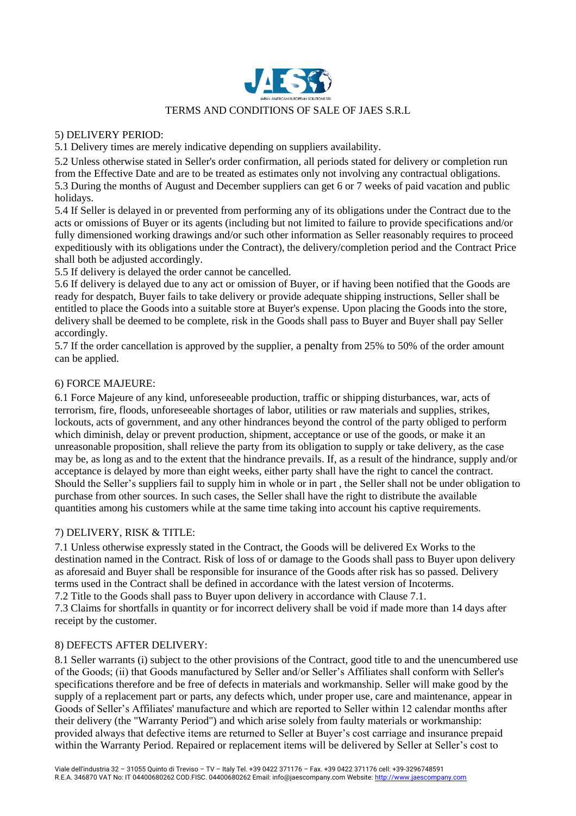

#### 5) DELIVERY PERIOD:

5.1 Delivery times are merely indicative depending on suppliers availability.

5.2 Unless otherwise stated in Seller's order confirmation, all periods stated for delivery or completion run from the Effective Date and are to be treated as estimates only not involving any contractual obligations. 5.3 During the months of August and December suppliers can get 6 or 7 weeks of paid vacation and public holidays.

5.4 If Seller is delayed in or prevented from performing any of its obligations under the Contract due to the acts or omissions of Buyer or its agents (including but not limited to failure to provide specifications and/or fully dimensioned working drawings and/or such other information as Seller reasonably requires to proceed expeditiously with its obligations under the Contract), the delivery/completion period and the Contract Price shall both be adjusted accordingly.

5.5 If delivery is delayed the order cannot be cancelled.

5.6 If delivery is delayed due to any act or omission of Buyer, or if having been notified that the Goods are ready for despatch, Buyer fails to take delivery or provide adequate shipping instructions, Seller shall be entitled to place the Goods into a suitable store at Buyer's expense. Upon placing the Goods into the store, delivery shall be deemed to be complete, risk in the Goods shall pass to Buyer and Buyer shall pay Seller accordingly.

5.7 If the order cancellation is approved by the supplier, a penalty from 25% to 50% of the order amount can be applied.

#### 6) FORCE MAJEURE:

6.1 Force Majeure of any kind, unforeseeable production, traffic or shipping disturbances, war, acts of terrorism, fire, floods, unforeseeable shortages of labor, utilities or raw materials and supplies, strikes, lockouts, acts of government, and any other hindrances beyond the control of the party obliged to perform which diminish, delay or prevent production, shipment, acceptance or use of the goods, or make it an unreasonable proposition, shall relieve the party from its obligation to supply or take delivery, as the case may be, as long as and to the extent that the hindrance prevails. If, as a result of the hindrance, supply and/or acceptance is delayed by more than eight weeks, either party shall have the right to cancel the contract. Should the Seller's suppliers fail to supply him in whole or in part , the Seller shall not be under obligation to purchase from other sources. In such cases, the Seller shall have the right to distribute the available quantities among his customers while at the same time taking into account his captive requirements.

### 7) DELIVERY, RISK & TITLE:

7.1 Unless otherwise expressly stated in the Contract, the Goods will be delivered Ex Works to the destination named in the Contract. Risk of loss of or damage to the Goods shall pass to Buyer upon delivery as aforesaid and Buyer shall be responsible for insurance of the Goods after risk has so passed. Delivery terms used in the Contract shall be defined in accordance with the latest version of Incoterms. 7.2 Title to the Goods shall pass to Buyer upon delivery in accordance with Clause 7.1.

7.3 Claims for shortfalls in quantity or for incorrect delivery shall be void if made more than 14 days after receipt by the customer.

### 8) DEFECTS AFTER DELIVERY:

8.1 Seller warrants (i) subject to the other provisions of the Contract, good title to and the unencumbered use of the Goods; (ii) that Goods manufactured by Seller and/or Seller's Affiliates shall conform with Seller's specifications therefore and be free of defects in materials and workmanship. Seller will make good by the supply of a replacement part or parts, any defects which, under proper use, care and maintenance, appear in Goods of Seller's Affiliates' manufacture and which are reported to Seller within 12 calendar months after their delivery (the "Warranty Period") and which arise solely from faulty materials or workmanship: provided always that defective items are returned to Seller at Buyer's cost carriage and insurance prepaid within the Warranty Period. Repaired or replacement items will be delivered by Seller at Seller's cost to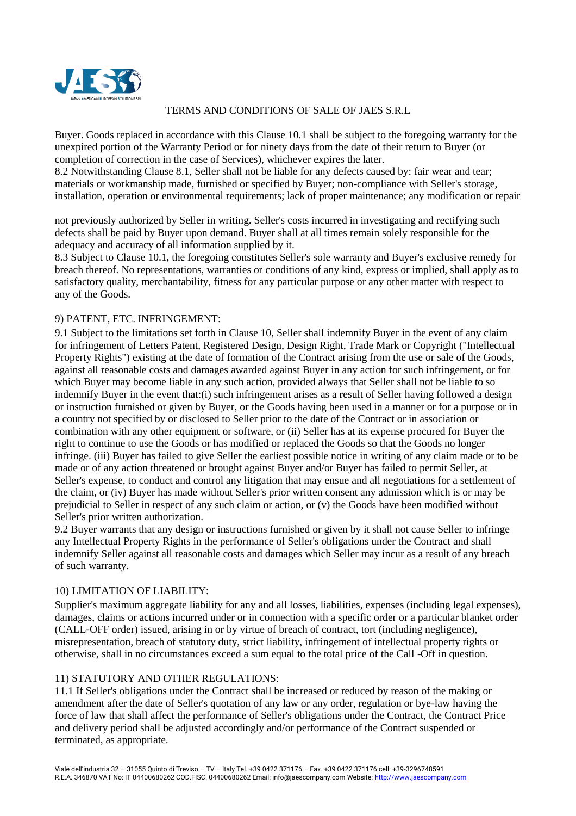

Buyer. Goods replaced in accordance with this Clause 10.1 shall be subject to the foregoing warranty for the unexpired portion of the Warranty Period or for ninety days from the date of their return to Buyer (or completion of correction in the case of Services), whichever expires the later.

8.2 Notwithstanding Clause 8.1, Seller shall not be liable for any defects caused by: fair wear and tear; materials or workmanship made, furnished or specified by Buyer; non-compliance with Seller's storage, installation, operation or environmental requirements; lack of proper maintenance; any modification or repair

not previously authorized by Seller in writing. Seller's costs incurred in investigating and rectifying such defects shall be paid by Buyer upon demand. Buyer shall at all times remain solely responsible for the adequacy and accuracy of all information supplied by it.

8.3 Subject to Clause 10.1, the foregoing constitutes Seller's sole warranty and Buyer's exclusive remedy for breach thereof. No representations, warranties or conditions of any kind, express or implied, shall apply as to satisfactory quality, merchantability, fitness for any particular purpose or any other matter with respect to any of the Goods.

# 9) PATENT, ETC. INFRINGEMENT:

9.1 Subject to the limitations set forth in Clause 10, Seller shall indemnify Buyer in the event of any claim for infringement of Letters Patent, Registered Design, Design Right, Trade Mark or Copyright ("Intellectual Property Rights") existing at the date of formation of the Contract arising from the use or sale of the Goods, against all reasonable costs and damages awarded against Buyer in any action for such infringement, or for which Buyer may become liable in any such action, provided always that Seller shall not be liable to so indemnify Buyer in the event that:(i) such infringement arises as a result of Seller having followed a design or instruction furnished or given by Buyer, or the Goods having been used in a manner or for a purpose or in a country not specified by or disclosed to Seller prior to the date of the Contract or in association or combination with any other equipment or software, or (ii) Seller has at its expense procured for Buyer the right to continue to use the Goods or has modified or replaced the Goods so that the Goods no longer infringe. (iii) Buyer has failed to give Seller the earliest possible notice in writing of any claim made or to be made or of any action threatened or brought against Buyer and/or Buyer has failed to permit Seller, at Seller's expense, to conduct and control any litigation that may ensue and all negotiations for a settlement of the claim, or (iv) Buyer has made without Seller's prior written consent any admission which is or may be prejudicial to Seller in respect of any such claim or action, or (v) the Goods have been modified without Seller's prior written authorization.

9.2 Buyer warrants that any design or instructions furnished or given by it shall not cause Seller to infringe any Intellectual Property Rights in the performance of Seller's obligations under the Contract and shall indemnify Seller against all reasonable costs and damages which Seller may incur as a result of any breach of such warranty.

# 10) LIMITATION OF LIABILITY:

Supplier's maximum aggregate liability for any and all losses, liabilities, expenses (including legal expenses), damages, claims or actions incurred under or in connection with a specific order or a particular blanket order (CALL-OFF order) issued, arising in or by virtue of breach of contract, tort (including negligence), misrepresentation, breach of statutory duty, strict liability, infringement of intellectual property rights or otherwise, shall in no circumstances exceed a sum equal to the total price of the Call -Off in question.

### 11) STATUTORY AND OTHER REGULATIONS:

11.1 If Seller's obligations under the Contract shall be increased or reduced by reason of the making or amendment after the date of Seller's quotation of any law or any order, regulation or bye-law having the force of law that shall affect the performance of Seller's obligations under the Contract, the Contract Price and delivery period shall be adjusted accordingly and/or performance of the Contract suspended or terminated, as appropriate.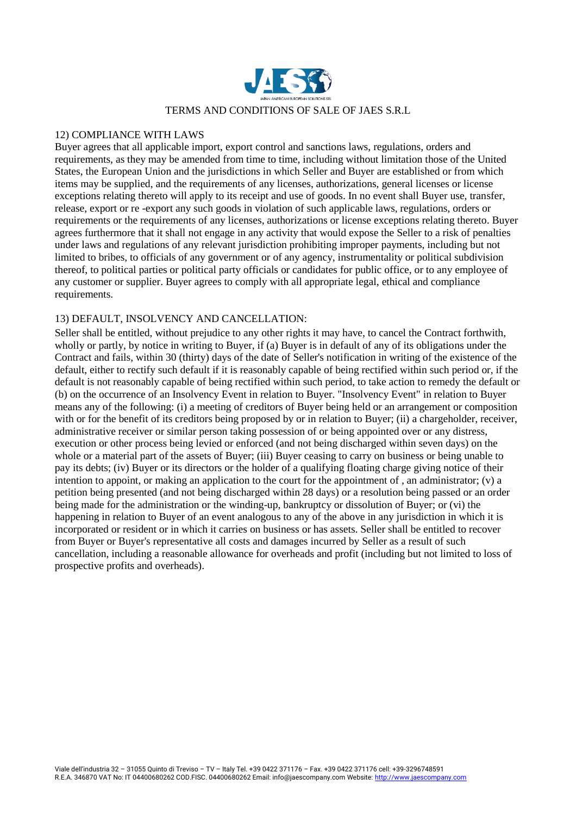

#### 12) COMPLIANCE WITH LAWS

Buyer agrees that all applicable import, export control and sanctions laws, regulations, orders and requirements, as they may be amended from time to time, including without limitation those of the United States, the European Union and the jurisdictions in which Seller and Buyer are established or from which items may be supplied, and the requirements of any licenses, authorizations, general licenses or license exceptions relating thereto will apply to its receipt and use of goods. In no event shall Buyer use, transfer, release, export or re -export any such goods in violation of such applicable laws, regulations, orders or requirements or the requirements of any licenses, authorizations or license exceptions relating thereto. Buyer agrees furthermore that it shall not engage in any activity that would expose the Seller to a risk of penalties under laws and regulations of any relevant jurisdiction prohibiting improper payments, including but not limited to bribes, to officials of any government or of any agency, instrumentality or political subdivision thereof, to political parties or political party officials or candidates for public office, or to any employee of any customer or supplier. Buyer agrees to comply with all appropriate legal, ethical and compliance requirements.

## 13) DEFAULT, INSOLVENCY AND CANCELLATION:

Seller shall be entitled, without prejudice to any other rights it may have, to cancel the Contract forthwith, wholly or partly, by notice in writing to Buyer, if (a) Buyer is in default of any of its obligations under the Contract and fails, within 30 (thirty) days of the date of Seller's notification in writing of the existence of the default, either to rectify such default if it is reasonably capable of being rectified within such period or, if the default is not reasonably capable of being rectified within such period, to take action to remedy the default or (b) on the occurrence of an Insolvency Event in relation to Buyer. "Insolvency Event" in relation to Buyer means any of the following: (i) a meeting of creditors of Buyer being held or an arrangement or composition with or for the benefit of its creditors being proposed by or in relation to Buyer; (ii) a chargeholder, receiver, administrative receiver or similar person taking possession of or being appointed over or any distress, execution or other process being levied or enforced (and not being discharged within seven days) on the whole or a material part of the assets of Buyer; (iii) Buyer ceasing to carry on business or being unable to pay its debts; (iv) Buyer or its directors or the holder of a qualifying floating charge giving notice of their intention to appoint, or making an application to the court for the appointment of , an administrator; (v) a petition being presented (and not being discharged within 28 days) or a resolution being passed or an order being made for the administration or the winding-up, bankruptcy or dissolution of Buyer; or (vi) the happening in relation to Buyer of an event analogous to any of the above in any jurisdiction in which it is incorporated or resident or in which it carries on business or has assets. Seller shall be entitled to recover from Buyer or Buyer's representative all costs and damages incurred by Seller as a result of such cancellation, including a reasonable allowance for overheads and profit (including but not limited to loss of prospective profits and overheads).